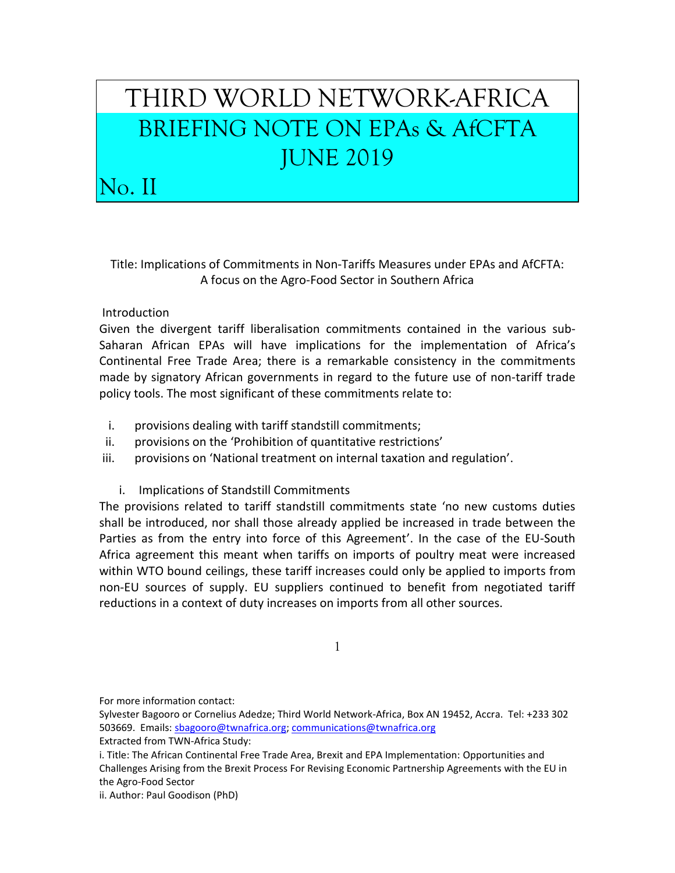## THIRD WORLD NETWORK-AFRICA BRIEFING NOTE ON EPAs & AfCFTA JUNE 2019

No. II

Title: Implications of Commitments in Non-Tariffs Measures under EPAs and AfCFTA: A focus on the Agro-Food Sector in Southern Africa

## Introduction

Given the divergent tariff liberalisation commitments contained in the various sub-Saharan African EPAs will have implications for the implementation of Africa's Continental Free Trade Area; there is a remarkable consistency in the commitments made by signatory African governments in regard to the future use of non-tariff trade policy tools. The most significant of these commitments relate to:

- i. provisions dealing with tariff standstill commitments;
- ii. provisions on the 'Prohibition of quantitative restrictions'
- iii. provisions on 'National treatment on internal taxation and regulation'.
	- i. Implications of Standstill Commitments

The provisions related to tariff standstill commitments state 'no new customs duties shall be introduced, nor shall those already applied be increased in trade between the Parties as from the entry into force of this Agreement'. In the case of the EU-South Africa agreement this meant when tariffs on imports of poultry meat were increased within WTO bound ceilings, these tariff increases could only be applied to imports from non-EU sources of supply. EU suppliers continued to benefit from negotiated tariff reductions in a context of duty increases on imports from all other sources.

1

For more information contact:

Sylvester Bagooro or Cornelius Adedze; Third World Network-Africa, Box AN 19452, Accra. Tel: +233 302 503669. Emails: [sbagooro@twnafrica.org;](mailto:sbagooro@twnafrica.org) [communications@twnafrica.org](mailto:communications@twnafrica.org) Extracted from TWN-Africa Study:

i. Title: The African Continental Free Trade Area, Brexit and EPA Implementation: Opportunities and Challenges Arising from the Brexit Process For Revising Economic Partnership Agreements with the EU in the Agro-Food Sector

ii. Author: Paul Goodison (PhD)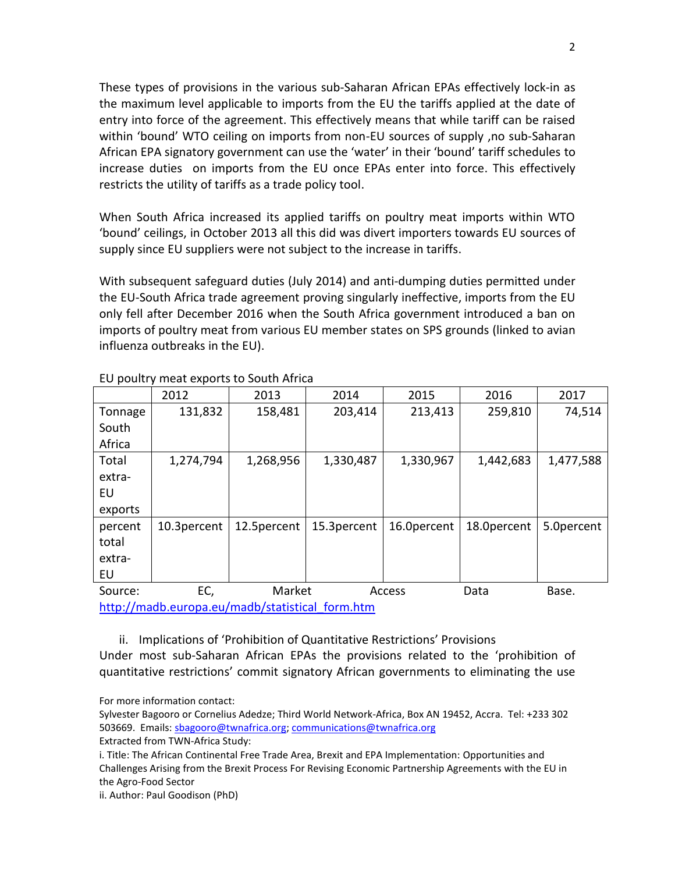These types of provisions in the various sub-Saharan African EPAs effectively lock-in as the maximum level applicable to imports from the EU the tariffs applied at the date of entry into force of the agreement. This effectively means that while tariff can be raised within 'bound' WTO ceiling on imports from non-EU sources of supply ,no sub-Saharan African EPA signatory government can use the 'water' in their 'bound' tariff schedules to increase duties on imports from the EU once EPAs enter into force. This effectively restricts the utility of tariffs as a trade policy tool.

When South Africa increased its applied tariffs on poultry meat imports within WTO 'bound' ceilings, in October 2013 all this did was divert importers towards EU sources of supply since EU suppliers were not subject to the increase in tariffs.

With subsequent safeguard duties (July 2014) and anti-dumping duties permitted under the EU-South Africa trade agreement proving singularly ineffective, imports from the EU only fell after December 2016 when the South Africa government introduced a ban on imports of poultry meat from various EU member states on SPS grounds (linked to avian influenza outbreaks in the EU).

|         | 2012        | 2013         | 2014        | 2015        | 2016        | 2017       |
|---------|-------------|--------------|-------------|-------------|-------------|------------|
| Tonnage | 131,832     | 158,481      | 203,414     | 213,413     | 259,810     | 74,514     |
| South   |             |              |             |             |             |            |
| Africa  |             |              |             |             |             |            |
| Total   | 1,274,794   | 1,268,956    | 1,330,487   | 1,330,967   | 1,442,683   | 1,477,588  |
| extra-  |             |              |             |             |             |            |
| EU      |             |              |             |             |             |            |
| exports |             |              |             |             |             |            |
| percent | 10.3percent | 12.5 percent | 15.3percent | 16.0percent | 18.0percent | 5.0percent |
| total   |             |              |             |             |             |            |
| extra-  |             |              |             |             |             |            |
| EU      |             |              |             |             |             |            |
| Source: | EC,         | Market       | Access      |             | Data        | Base.      |

EU poultry meat exports to South Africa

[http://madb.europa.eu/madb/statistical\\_form.htm](http://madb.europa.eu/madb/statistical_form.htm)

ii. Implications of 'Prohibition of Quantitative Restrictions' Provisions Under most sub-Saharan African EPAs the provisions related to the 'prohibition of quantitative restrictions' commit signatory African governments to eliminating the use

For more information contact:

i. Title: The African Continental Free Trade Area, Brexit and EPA Implementation: Opportunities and Challenges Arising from the Brexit Process For Revising Economic Partnership Agreements with the EU in the Agro-Food Sector

ii. Author: Paul Goodison (PhD)

Sylvester Bagooro or Cornelius Adedze; Third World Network-Africa, Box AN 19452, Accra. Tel: +233 302 503669. Emails: [sbagooro@twnafrica.org;](mailto:sbagooro@twnafrica.org) [communications@twnafrica.org](mailto:communications@twnafrica.org) Extracted from TWN-Africa Study: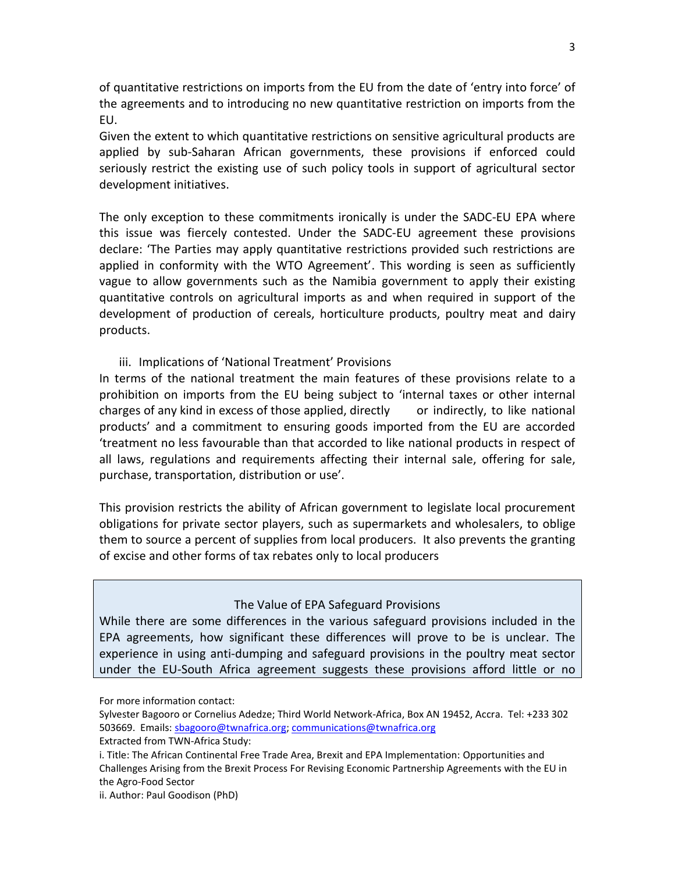of quantitative restrictions on imports from the EU from the date of 'entry into force' of the agreements and to introducing no new quantitative restriction on imports from the EU.

Given the extent to which quantitative restrictions on sensitive agricultural products are applied by sub-Saharan African governments, these provisions if enforced could seriously restrict the existing use of such policy tools in support of agricultural sector development initiatives.

The only exception to these commitments ironically is under the SADC-EU EPA where this issue was fiercely contested. Under the SADC-EU agreement these provisions declare: 'The Parties may apply quantitative restrictions provided such restrictions are applied in conformity with the WTO Agreement'. This wording is seen as sufficiently vague to allow governments such as the Namibia government to apply their existing quantitative controls on agricultural imports as and when required in support of the development of production of cereals, horticulture products, poultry meat and dairy products.

iii. Implications of 'National Treatment' Provisions

In terms of the national treatment the main features of these provisions relate to a prohibition on imports from the EU being subject to 'internal taxes or other internal charges of any kind in excess of those applied, directly or indirectly, to like national products' and a commitment to ensuring goods imported from the EU are accorded 'treatment no less favourable than that accorded to like national products in respect of all laws, regulations and requirements affecting their internal sale, offering for sale, purchase, transportation, distribution or use'.

This provision restricts the ability of African government to legislate local procurement obligations for private sector players, such as supermarkets and wholesalers, to oblige them to source a percent of supplies from local producers. It also prevents the granting of excise and other forms of tax rebates only to local producers

## The Value of EPA Safeguard Provisions

While there are some differences in the various safeguard provisions included in the EPA agreements, how significant these differences will prove to be is unclear. The experience in using anti-dumping and safeguard provisions in the poultry meat sector under the EU-South Africa agreement suggests these provisions afford little or no

For more information contact:

Sylvester Bagooro or Cornelius Adedze; Third World Network-Africa, Box AN 19452, Accra. Tel: +233 302 503669. Emails: [sbagooro@twnafrica.org;](mailto:sbagooro@twnafrica.org) [communications@twnafrica.org](mailto:communications@twnafrica.org) Extracted from TWN-Africa Study:

i. Title: The African Continental Free Trade Area, Brexit and EPA Implementation: Opportunities and Challenges Arising from the Brexit Process For Revising Economic Partnership Agreements with the EU in

the Agro-Food Sector

ii. Author: Paul Goodison (PhD)